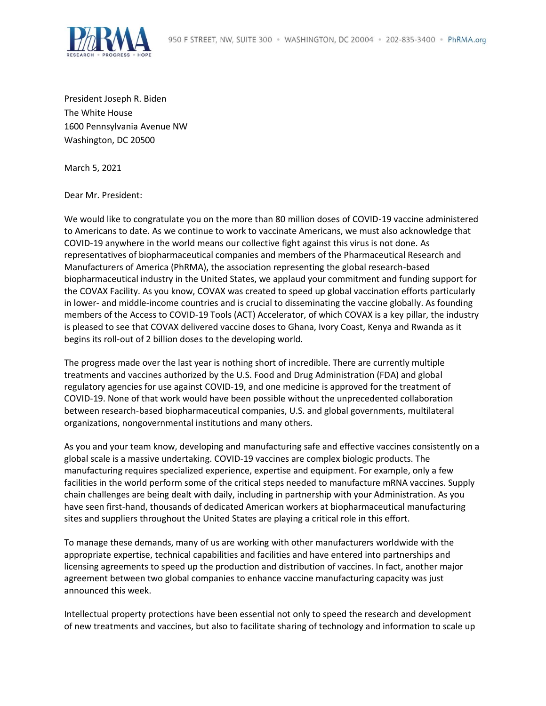

President Joseph R. Biden The White House 1600 Pennsylvania Avenue NW Washington, DC 20500

March 5, 2021

Dear Mr. President:

We would like to congratulate you on the more than 80 million doses of COVID-19 vaccine administered to Americans to date. As we continue to work to vaccinate Americans, we must also acknowledge that COVID-19 anywhere in the world means our collective fight against this virus is not done. As representatives of biopharmaceutical companies and members of the Pharmaceutical Research and Manufacturers of America (PhRMA), the association representing the global research-based biopharmaceutical industry in the United States, we applaud your commitment and funding support for the COVAX Facility. As you know, COVAX was created to speed up global vaccination efforts particularly in lower- and middle-income countries and is crucial to disseminating the vaccine globally. As founding members of the Access to COVID-19 Tools (ACT) Accelerator, of which COVAX is a key pillar, the industry is pleased to see that COVAX delivered vaccine doses to Ghana, Ivory Coast, Kenya and Rwanda as it begins its roll-out of 2 billion doses to the developing world.

The progress made over the last year is nothing short of incredible. There are currently multiple treatments and vaccines authorized by the U.S. Food and Drug Administration (FDA) and global regulatory agencies for use against COVID-19, and one medicine is approved for the treatment of COVID-19. None of that work would have been possible without the unprecedented collaboration between research-based biopharmaceutical companies, U.S. and global governments, multilateral organizations, nongovernmental institutions and many others.

As you and your team know, developing and manufacturing safe and effective vaccines consistently on a global scale is a massive undertaking. COVID-19 vaccines are complex biologic products. The manufacturing requires specialized experience, expertise and equipment. For example, only a few facilities in the world perform some of the critical steps needed to manufacture mRNA vaccines. Supply chain challenges are being dealt with daily, including in partnership with your Administration. As you have seen first-hand, thousands of dedicated American workers at biopharmaceutical manufacturing sites and suppliers throughout the United States are playing a critical role in this effort.

To manage these demands, many of us are working with other manufacturers worldwide with the appropriate expertise, technical capabilities and facilities and have entered into partnerships and licensing agreements to speed up the production and distribution of vaccines. In fact, another major agreement between two global companies to enhance vaccine manufacturing capacity was just announced this week.

Intellectual property protections have been essential not only to speed the research and development of new treatments and vaccines, but also to facilitate sharing of technology and information to scale up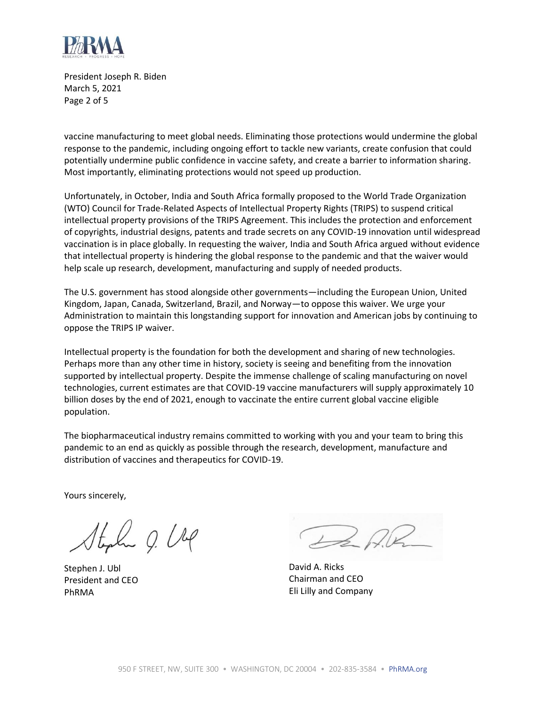

President Joseph R. Biden March 5, 2021 Page 2 of 5

vaccine manufacturing to meet global needs. Eliminating those protections would undermine the global response to the pandemic, including ongoing effort to tackle new variants, create confusion that could potentially undermine public confidence in vaccine safety, and create a barrier to information sharing. Most importantly, eliminating protections would not speed up production.

Unfortunately, in October, India and South Africa formally proposed to the World Trade Organization (WTO) Council for Trade-Related Aspects of Intellectual Property Rights (TRIPS) to suspend critical intellectual property provisions of the TRIPS Agreement. This includes the protection and enforcement of copyrights, industrial designs, patents and trade secrets on any COVID-19 innovation until widespread vaccination is in place globally. In requesting the waiver, India and South Africa argued without evidence that intellectual property is hindering the global response to the pandemic and that the waiver would help scale up research, development, manufacturing and supply of needed products.

The U.S. government has stood alongside other governments—including the European Union, United Kingdom, Japan, Canada, Switzerland, Brazil, and Norway—to oppose this waiver. We urge your Administration to maintain this longstanding support for innovation and American jobs by continuing to oppose the TRIPS IP waiver.

Intellectual property is the foundation for both the development and sharing of new technologies. Perhaps more than any other time in history, society is seeing and benefiting from the innovation supported by intellectual property. Despite the immense challenge of scaling manufacturing on novel technologies, current estimates are that COVID-19 vaccine manufacturers will supply approximately 10 billion doses by the end of 2021, enough to vaccinate the entire current global vaccine eligible population.

The biopharmaceutical industry remains committed to working with you and your team to bring this pandemic to an end as quickly as possible through the research, development, manufacture and distribution of vaccines and therapeutics for COVID-19.

Yours sincerely,

Stylu O. Ung

Stephen J. Ubl President and CEO PhRMA

De RR

David A. Ricks Chairman and CEO Eli Lilly and Company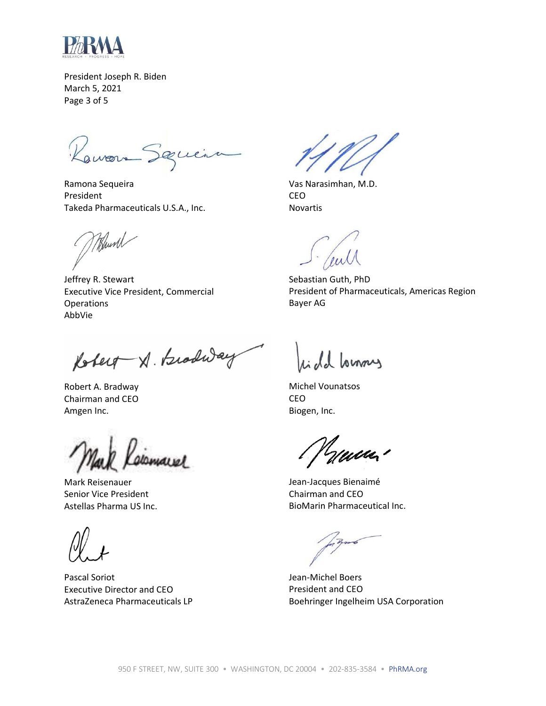

President Joseph R. Biden March 5, 2021 Page 3 of 5

Rawon Seguir

Ramona Sequeira President Takeda Pharmaceuticals U.S.A., Inc.

Whunh

Jeffrey R. Stewart Executive Vice President, Commercial **Operations** AbbVie

Robert X. Brodway

Robert A. Bradway Chairman and CEO Amgen Inc.

Mark Reisenauer Senior Vice President Astellas Pharma US Inc.

Pascal Soriot Executive Director and CEO AstraZeneca Pharmaceuticals LP

Vas Narasimhan, M.D. CEO Novartis

Sebastian Guth, PhD President of Pharmaceuticals, Americas Region Bayer AG

onny

Michel Vounatsos CEO Biogen, Inc.

<u> Heither I</u>

Jean-Jacques Bienaimé Chairman and CEO BioMarin Pharmaceutical Inc.

Jean-Michel Boers President and CEO Boehringer Ingelheim USA Corporation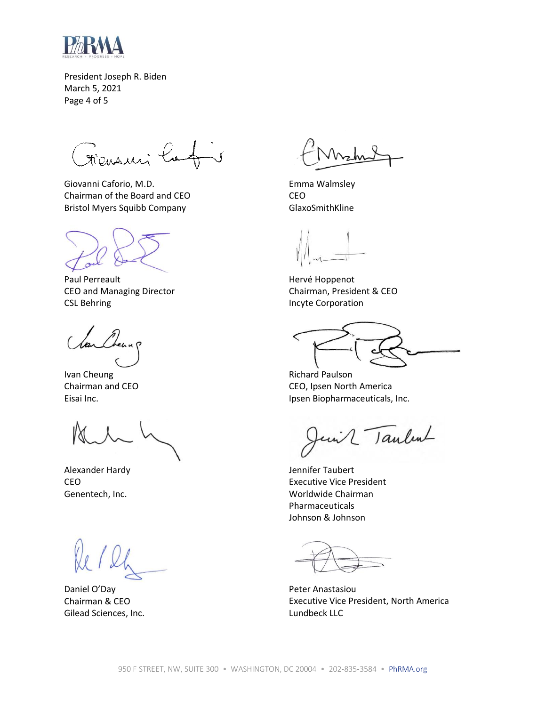

President Joseph R. Biden March 5, 2021 Page 4 of 5

Frensuri lo

Giovanni Caforio, M.D. Chairman of the Board and CEO Bristol Myers Squibb Company

Paul Perreault CEO and Managing Director CSL Behring

Ivan Cheung Chairman and CEO Eisai Inc.

Alexander Hardy CEO Genentech, Inc.

Daniel O'Day Chairman & CEO Gilead Sciences, Inc.

Emma Walmsley CEO GlaxoSmithKline

Hervé Hoppenot Chairman, President & CEO Incyte Corporation

Richard Paulson CEO, Ipsen North America Ipsen Biopharmaceuticals, Inc.

2 Taulent

Jennifer Taubert Executive Vice President Worldwide Chairman Pharmaceuticals Johnson & Johnson

Peter Anastasiou Executive Vice President, North America Lundbeck LLC